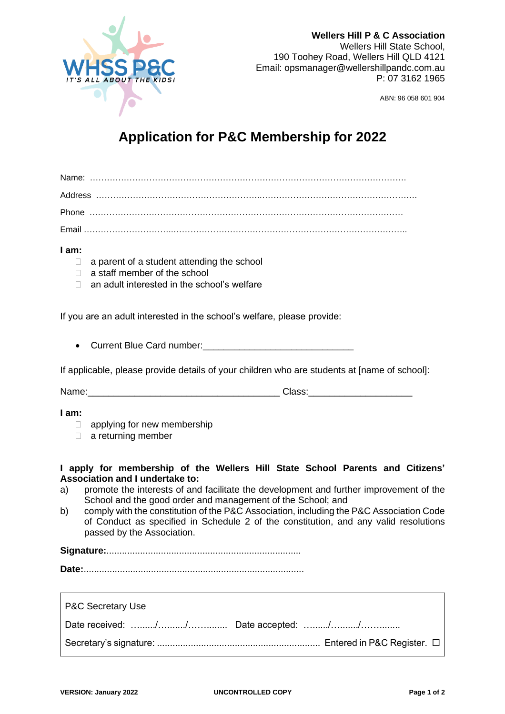

**Wellers Hill P & C Association** Wellers Hill State School, 190 Toohey Road, Wellers Hill QLD 4121 Email: opsmanager@wellershillpandc.com.au P: 07 3162 1965

ABN: 96 058 601 904

## **Application for P&C Membership for 2022**

## **I am:**

- $\Box$  a parent of a student attending the school
- □ a staff member of the school
- □ an adult interested in the school's welfare

If you are an adult interested in the school's welfare, please provide:

• Current Blue Card number:\_\_\_\_\_\_\_\_\_\_\_\_\_\_\_\_\_\_\_\_\_\_\_\_\_\_\_\_\_

If applicable, please provide details of your children who are students at [name of school]:

Name:\_\_\_\_\_\_\_\_\_\_\_\_\_\_\_\_\_\_\_\_\_\_\_\_\_\_\_\_\_\_\_\_\_\_\_\_\_ Class:\_\_\_\_\_\_\_\_\_\_\_\_\_\_\_\_\_\_\_\_

**I am:**

- **applying for new membership**
- $\Box$  a returning member

## **I apply for membership of the Wellers Hill State School Parents and Citizens' Association and I undertake to:**

- a) promote the interests of and facilitate the development and further improvement of the School and the good order and management of the School; and
- b) comply with the constitution of the P&C Association, including the P&C Association Code of Conduct as specified in Schedule 2 of the constitution, and any valid resolutions passed by the Association.

**Signature:**...........................................................................

**Date:**.....................................................................................

| P&C Secretary Use |  |
|-------------------|--|
|                   |  |
|                   |  |